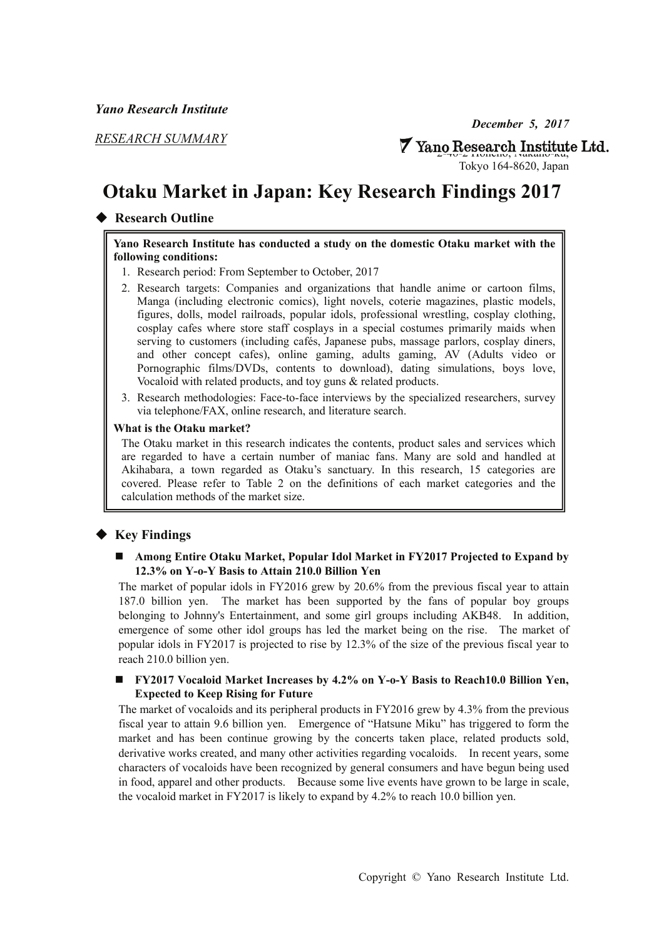*December 5, 2017* 

*RESEARCH SUMMARY* 

# **7** Yano Research Institute Ltd.

Tokyo 164-8620, Japan

# **Otaku Market in Japan: Key Research Findings 2017**

### ◆ **Research Outline**

#### **Yano Research Institute has conducted a study on the domestic Otaku market with the following conditions:**

- 1. Research period: From September to October, 2017
- 2. Research targets: Companies and organizations that handle anime or cartoon films, Manga (including electronic comics), light novels, coterie magazines, plastic models, figures, dolls, model railroads, popular idols, professional wrestling, cosplay clothing, cosplay cafes where store staff cosplays in a special costumes primarily maids when serving to customers (including cafés, Japanese pubs, massage parlors, cosplay diners, and other concept cafes), online gaming, adults gaming, AV (Adults video or Pornographic films/DVDs, contents to download), dating simulations, boys love, Vocaloid with related products, and toy guns & related products.
- 3. Research methodologies: Face-to-face interviews by the specialized researchers, survey via telephone/FAX, online research, and literature search.

#### **What is the Otaku market?**

The Otaku market in this research indicates the contents, product sales and services which are regarded to have a certain number of maniac fans. Many are sold and handled at Akihabara, a town regarded as Otaku's sanctuary. In this research, 15 categories are covered. Please refer to Table 2 on the definitions of each market categories and the calculation methods of the market size.

## ◆ **Key Findings**

#### **Among Entire Otaku Market, Popular Idol Market in FY2017 Projected to Expand by 12.3% on Y-o-Y Basis to Attain 210.0 Billion Yen**

The market of popular idols in FY2016 grew by 20.6% from the previous fiscal year to attain 187.0 billion yen. The market has been supported by the fans of popular boy groups belonging to Johnny's Entertainment, and some girl groups including AKB48. In addition, emergence of some other idol groups has led the market being on the rise. The market of popular idols in FY2017 is projected to rise by 12.3% of the size of the previous fiscal year to reach 210.0 billion yen.

#### **FY2017 Vocaloid Market Increases by 4.2% on Y-o-Y Basis to Reach10.0 Billion Yen, Expected to Keep Rising for Future**

The market of vocaloids and its peripheral products in FY2016 grew by 4.3% from the previous fiscal year to attain 9.6 billion yen. Emergence of "Hatsune Miku" has triggered to form the market and has been continue growing by the concerts taken place, related products sold, derivative works created, and many other activities regarding vocaloids. In recent years, some characters of vocaloids have been recognized by general consumers and have begun being used in food, apparel and other products. Because some live events have grown to be large in scale, the vocaloid market in FY2017 is likely to expand by 4.2% to reach 10.0 billion yen.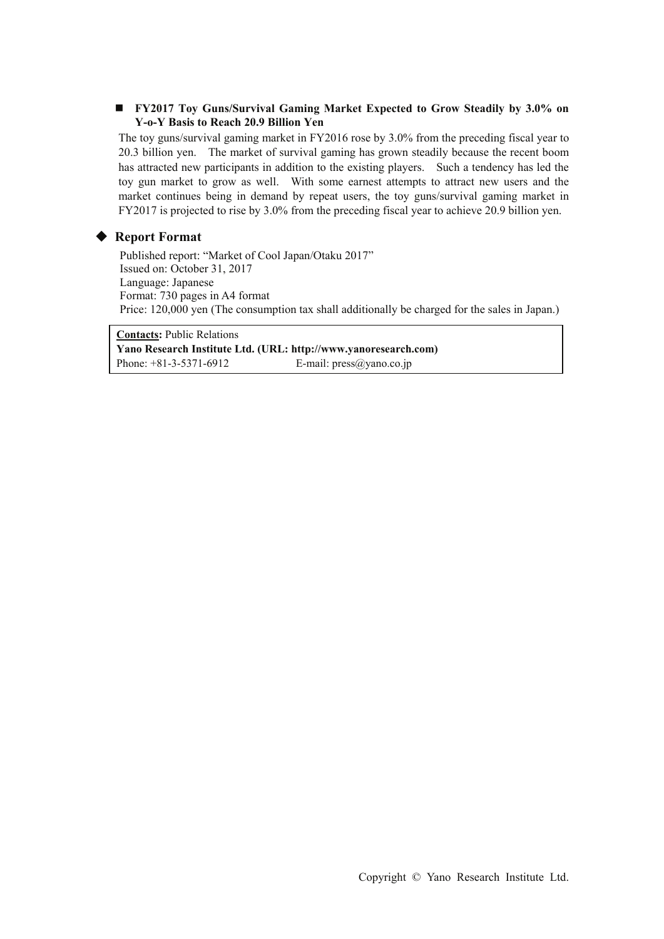#### **FY2017 Toy Guns/Survival Gaming Market Expected to Grow Steadily by 3.0% on Y-o-Y Basis to Reach 20.9 Billion Yen**

The toy guns/survival gaming market in FY2016 rose by 3.0% from the preceding fiscal year to 20.3 billion yen. The market of survival gaming has grown steadily because the recent boom has attracted new participants in addition to the existing players. Such a tendency has led the toy gun market to grow as well. With some earnest attempts to attract new users and the market continues being in demand by repeat users, the toy guns/survival gaming market in FY2017 is projected to rise by 3.0% from the preceding fiscal year to achieve 20.9 billion yen.

#### ◆ **Report Format**

Published report: "Market of Cool Japan/Otaku 2017" Issued on: October 31, 2017 Language: Japanese Format: 730 pages in A4 format Price: 120,000 yen (The consumption tax shall additionally be charged for the sales in Japan.)

**Contacts:** Public Relations **Yano Research Institute Ltd. (URL: http://www.yanoresearch.com)**  Phone: +81-3-5371-6912 E-mail: press@yano.co.jp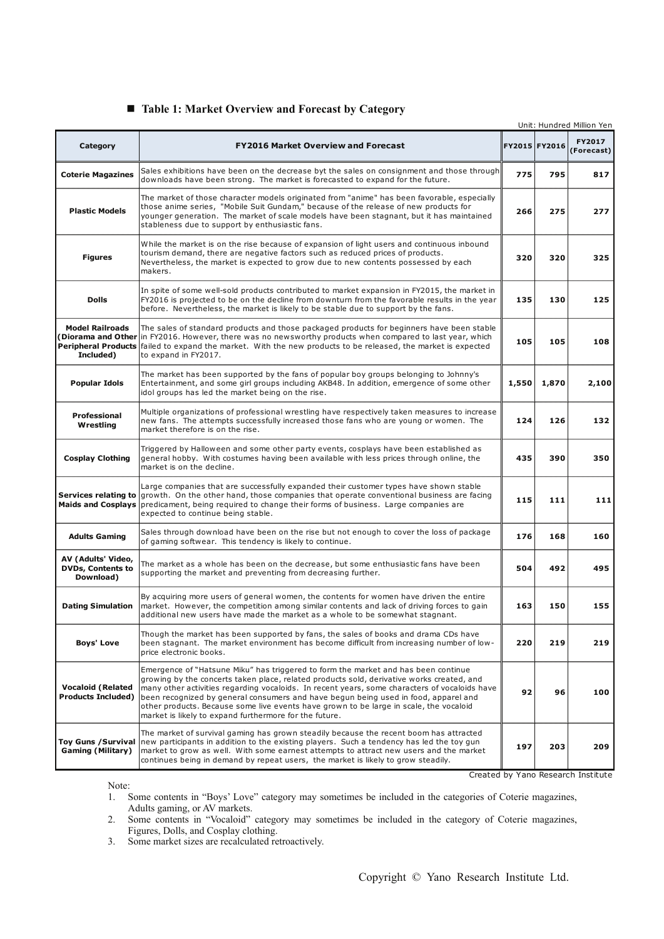|                                                             |                                                                                                                                                                                                                                                                                                                                                                                                                                                                                                                             |     |               | Unit: Hundred Million Yen |
|-------------------------------------------------------------|-----------------------------------------------------------------------------------------------------------------------------------------------------------------------------------------------------------------------------------------------------------------------------------------------------------------------------------------------------------------------------------------------------------------------------------------------------------------------------------------------------------------------------|-----|---------------|---------------------------|
| Category                                                    | <b>FY2016 Market Overview and Forecast</b>                                                                                                                                                                                                                                                                                                                                                                                                                                                                                  |     | FY2015 FY2016 | FY2017<br>(Forecast)      |
| <b>Coterie Magazines</b>                                    | Sales exhibitions have been on the decrease byt the sales on consignment and those through<br>downloads have been strong. The market is forecasted to expand for the future.                                                                                                                                                                                                                                                                                                                                                | 775 | 795           | 817                       |
| <b>Plastic Models</b>                                       | The market of those character models originated from "anime" has been favorable, especially<br>those anime series, "Mobile Suit Gundam," because of the release of new products for<br>younger generation. The market of scale models have been stagnant, but it has maintained<br>stableness due to support by enthusiastic fans.                                                                                                                                                                                          |     | 275           | 277                       |
| <b>Figures</b>                                              | While the market is on the rise because of expansion of light users and continuous inbound<br>tourism demand, there are negative factors such as reduced prices of products.<br>Nevertheless, the market is expected to grow due to new contents possessed by each<br>makers.                                                                                                                                                                                                                                               | 320 | 320           | 325                       |
| <b>Dolls</b>                                                | In spite of some well-sold products contributed to market expansion in FY2015, the market in<br>FY2016 is projected to be on the decline from downturn from the favorable results in the year<br>before. Nevertheless, the market is likely to be stable due to support by the fans.                                                                                                                                                                                                                                        |     | 130           | 125                       |
| <b>Model Railroads</b><br>Diorama and Other<br>Included)    | The sales of standard products and those packaged products for beginners have been stable<br>in FY2016. However, there was no newsworthy products when compared to last year, which<br>Peripheral Products failed to expand the market. With the new products to be released, the market is expected<br>to expand in FY2017.                                                                                                                                                                                                |     | 105           | 108                       |
| Popular Idols                                               | The market has been supported by the fans of popular boy groups belonging to Johnny's<br>Entertainment, and some girl groups including AKB48. In addition, emergence of some other<br>idol groups has led the market being on the rise.                                                                                                                                                                                                                                                                                     |     | 1,870         | 2,100                     |
| Professional<br>Wrestling                                   | Multiple organizations of professional wrestling have respectively taken measures to increase<br>new fans. The attempts successfully increased those fans who are young or women. The<br>market therefore is on the rise.                                                                                                                                                                                                                                                                                                   |     | 126           | 132                       |
| <b>Cosplay Clothing</b>                                     | Triggered by Halloween and some other party events, cosplays have been established as<br>general hobby. With costumes having been available with less prices through online, the<br>market is on the decline.                                                                                                                                                                                                                                                                                                               |     | 390           | 350                       |
|                                                             | Large companies that are successfully expanded their customer types have shown stable<br>Services relating to growth. On the other hand, those companies that operate conventional business are facing<br>Maids and Cosplays  predicament, being required to change their forms of business. Large companies are<br>expected to continue being stable.                                                                                                                                                                      |     | 111           | 111                       |
| <b>Adults Gaming</b>                                        | Sales through download have been on the rise but not enough to cover the loss of package<br>of gaming softwear. This tendency is likely to continue.                                                                                                                                                                                                                                                                                                                                                                        |     | 168           | 160                       |
| AV (Adults' Video,<br><b>DVDs, Contents to</b><br>Download) | The market as a whole has been on the decrease, but some enthusiastic fans have been<br>supporting the market and preventing from decreasing further.                                                                                                                                                                                                                                                                                                                                                                       | 504 | 492           | 495                       |
| <b>Dating Simulation</b>                                    | By acquiring more users of general women, the contents for women have driven the entire<br>market. However, the competition among similar contents and lack of driving forces to gain<br>additional new users have made the market as a whole to be somewhat stagnant.                                                                                                                                                                                                                                                      |     | 150           | 155                       |
| <b>Boys' Love</b>                                           | Though the market has been supported by fans, the sales of books and drama CDs have<br>been stagnant. The market environment has become difficult from increasing number of low-<br>price electronic books.                                                                                                                                                                                                                                                                                                                 | 220 | 219           | 219                       |
| <b>Vocaloid (Related</b><br><b>Products Included)</b>       | Emergence of "Hatsune Miku" has triggered to form the market and has been continue<br>growing by the concerts taken place, related products sold, derivative works created, and<br>many other activities regarding vocaloids. In recent years, some characters of vocaloids have<br>been recognized by general consumers and have begun being used in food, apparel and<br>other products. Because some live events have grown to be large in scale, the vocaloid<br>market is likely to expand furthermore for the future. | 92  | 96            | 100                       |
| <b>Toy Guns / Survival</b><br><b>Gaming (Military)</b>      | The market of survival gaming has grown steadily because the recent boom has attracted<br>new participants in addition to the existing players. Such a tendency has led the toy gun<br>market to grow as well. With some earnest attempts to attract new users and the market<br>continues being in demand by repeat users, the market is likely to grow steadily.                                                                                                                                                          |     | 203           | 209                       |

#### ■ Table 1: Market Overview and Forecast by Category

Created by Yano Research Institute

Note:<br> $1. \tS$ 

- 1. Some contents in "Boys' Love" category may sometimes be included in the categories of Coterie magazines, Adults gaming, or AV markets.
- 2. Some contents in "Vocaloid" category may sometimes be included in the category of Coterie magazines, Figures, Dolls, and Cosplay clothing.
- 3. Some market sizes are recalculated retroactively.

Copyright © Yano Research Institute Ltd.